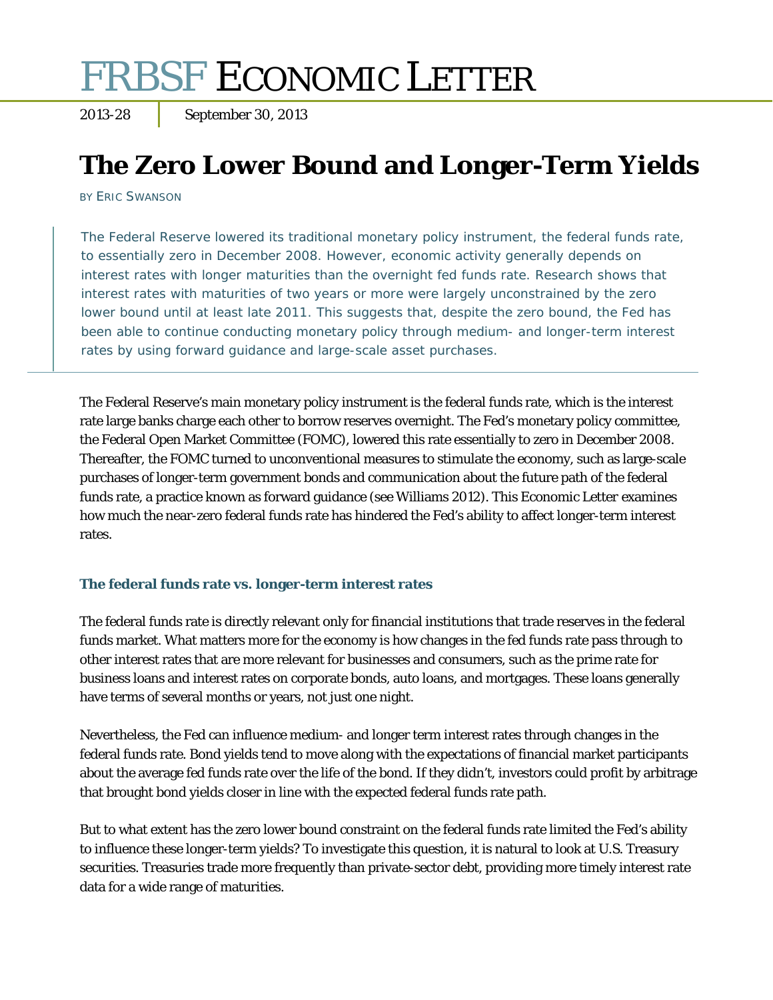# FRBSF ECONOMIC LETTER

2013-28 September 30, 2013

# **The Zero Lower Bound and Longer-Term Yields**

BY ERIC SWANSON

The Federal Reserve lowered its traditional monetary policy instrument, the federal funds rate, to essentially zero in December 2008. However, economic activity generally depends on interest rates with longer maturities than the overnight fed funds rate. Research shows that interest rates with maturities of two years or more were largely unconstrained by the zero lower bound until at least late 2011. This suggests that, despite the zero bound, the Fed has been able to continue conducting monetary policy through medium- and longer-term interest rates by using forward guidance and large-scale asset purchases.

The Federal Reserve's main monetary policy instrument is the federal funds rate, which is the interest rate large banks charge each other to borrow reserves overnight. The Fed's monetary policy committee, the Federal Open Market Committee (FOMC), lowered this rate essentially to zero in December 2008. Thereafter, the FOMC turned to unconventional measures to stimulate the economy, such as large-scale purchases of longer-term government bonds and communication about the future path of the federal funds rate, a practice known as forward guidance (see Williams 2012). This *Economic Letter* examines how much the near-zero federal funds rate has hindered the Fed's ability to affect longer-term interest rates.

# **The federal funds rate vs. longer-term interest rates**

The federal funds rate is directly relevant only for financial institutions that trade reserves in the federal funds market. What matters more for the economy is how changes in the fed funds rate pass through to other interest rates that are more relevant for businesses and consumers, such as the prime rate for business loans and interest rates on corporate bonds, auto loans, and mortgages. These loans generally have terms of several months or years, not just one night.

Nevertheless, the Fed can influence medium- and longer term interest rates through changes in the federal funds rate. Bond yields tend to move along with the expectations of financial market participants about the average fed funds rate over the life of the bond. If they didn't, investors could profit by arbitrage that brought bond yields closer in line with the expected federal funds rate path.

But to what extent has the zero lower bound constraint on the federal funds rate limited the Fed's ability to influence these longer-term yields? To investigate this question, it is natural to look at U.S. Treasury securities. Treasuries trade more frequently than private-sector debt, providing more timely interest rate data for a wide range of maturities.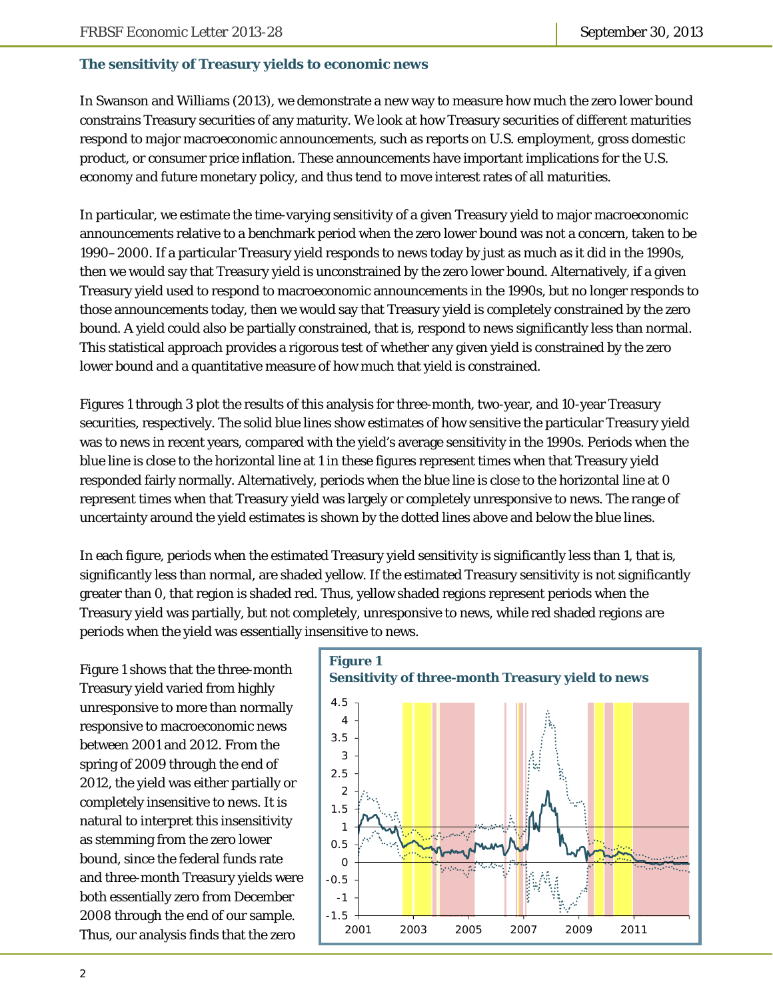#### **The sensitivity of Treasury yields to economic news**

In Swanson and Williams (2013), we demonstrate a new way to measure how much the zero lower bound constrains Treasury securities of any maturity. We look at how Treasury securities of different maturities respond to major macroeconomic announcements, such as reports on U.S. employment, gross domestic product, or consumer price inflation. These announcements have important implications for the U.S. economy and future monetary policy, and thus tend to move interest rates of all maturities.

In particular, we estimate the time-varying sensitivity of a given Treasury yield to major macroeconomic announcements relative to a benchmark period when the zero lower bound was not a concern, taken to be 1990–2000. If a particular Treasury yield responds to news today by just as much as it did in the 1990s, then we would say that Treasury yield is unconstrained by the zero lower bound. Alternatively, if a given Treasury yield used to respond to macroeconomic announcements in the 1990s, but no longer responds to those announcements today, then we would say that Treasury yield is completely constrained by the zero bound. A yield could also be partially constrained, that is, respond to news significantly less than normal. This statistical approach provides a rigorous test of whether any given yield is constrained by the zero lower bound and a quantitative measure of how much that yield is constrained.

Figures 1 through 3 plot the results of this analysis for three-month, two-year, and 10-year Treasury securities, respectively. The solid blue lines show estimates of how sensitive the particular Treasury yield was to news in recent years, compared with the yield's average sensitivity in the 1990s. Periods when the blue line is close to the horizontal line at 1 in these figures represent times when that Treasury yield responded fairly normally. Alternatively, periods when the blue line is close to the horizontal line at 0 represent times when that Treasury yield was largely or completely unresponsive to news. The range of uncertainty around the yield estimates is shown by the dotted lines above and below the blue lines.

In each figure, periods when the estimated Treasury yield sensitivity is significantly less than 1, that is, significantly less than normal, are shaded yellow. If the estimated Treasury sensitivity is not significantly greater than 0, that region is shaded red. Thus, yellow shaded regions represent periods when the Treasury yield was partially, but not completely, unresponsive to news, while red shaded regions are periods when the yield was essentially insensitive to news.

Figure 1 shows that the three-month Treasury yield varied from highly unresponsive to more than normally responsive to macroeconomic news between 2001 and 2012. From the spring of 2009 through the end of 2012, the yield was either partially or completely insensitive to news. It is natural to interpret this insensitivity as stemming from the zero lower bound, since the federal funds rate and three-month Treasury yields were both essentially zero from December 2008 through the end of our sample. Thus, our analysis finds that the zero

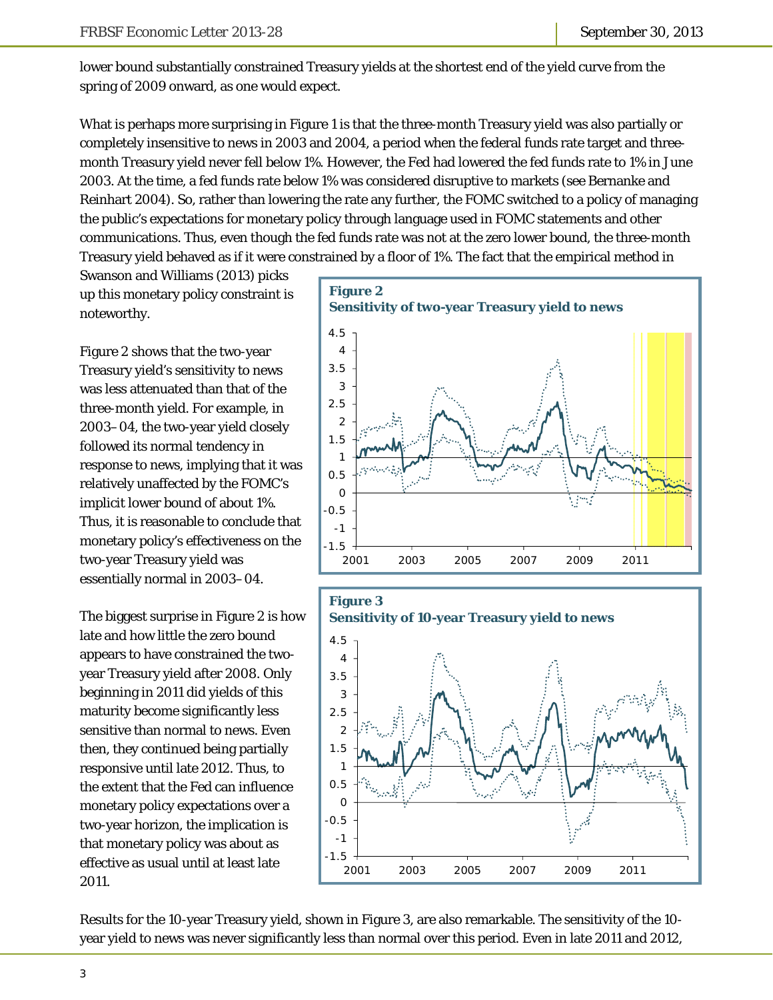lower bound substantially constrained Treasury yields at the shortest end of the yield curve from the spring of 2009 onward, as one would expect.

What is perhaps more surprising in Figure 1 is that the three-month Treasury yield was also partially or completely insensitive to news in 2003 and 2004, a period when the federal funds rate target and threemonth Treasury yield never fell below 1%. However, the Fed had lowered the fed funds rate to 1% in June 2003. At the time, a fed funds rate below 1% was considered disruptive to markets (see Bernanke and Reinhart 2004). So, rather than lowering the rate any further, the FOMC switched to a policy of managing the public's expectations for monetary policy through language used in FOMC statements and other communications. Thus, even though the fed funds rate was not at the zero lower bound, the three-month Treasury yield behaved as if it were constrained by a floor of 1%. The fact that the empirical method in

Swanson and Williams (2013) picks up this monetary policy constraint is noteworthy.

Figure 2 shows that the two-year Treasury yield's sensitivity to news was less attenuated than that of the three-month yield. For example, in 2003–04, the two-year yield closely followed its normal tendency in response to news, implying that it was relatively unaffected by the FOMC's implicit lower bound of about 1%. Thus, it is reasonable to conclude that monetary policy's effectiveness on the two-year Treasury yield was essentially normal in 2003–04.

The biggest surprise in Figure 2 is how late and how little the zero bound appears to have constrained the twoyear Treasury yield after 2008. Only beginning in 2011 did yields of this maturity become significantly less sensitive than normal to news. Even then, they continued being partially responsive until late 2012. Thus, to the extent that the Fed can influence monetary policy expectations over a two-year horizon, the implication is that monetary policy was about as effective as usual until at least late 2011.





Results for the 10-year Treasury yield, shown in Figure 3, are also remarkable. The sensitivity of the 10 year yield to news was never significantly less than normal over this period. Even in late 2011 and 2012,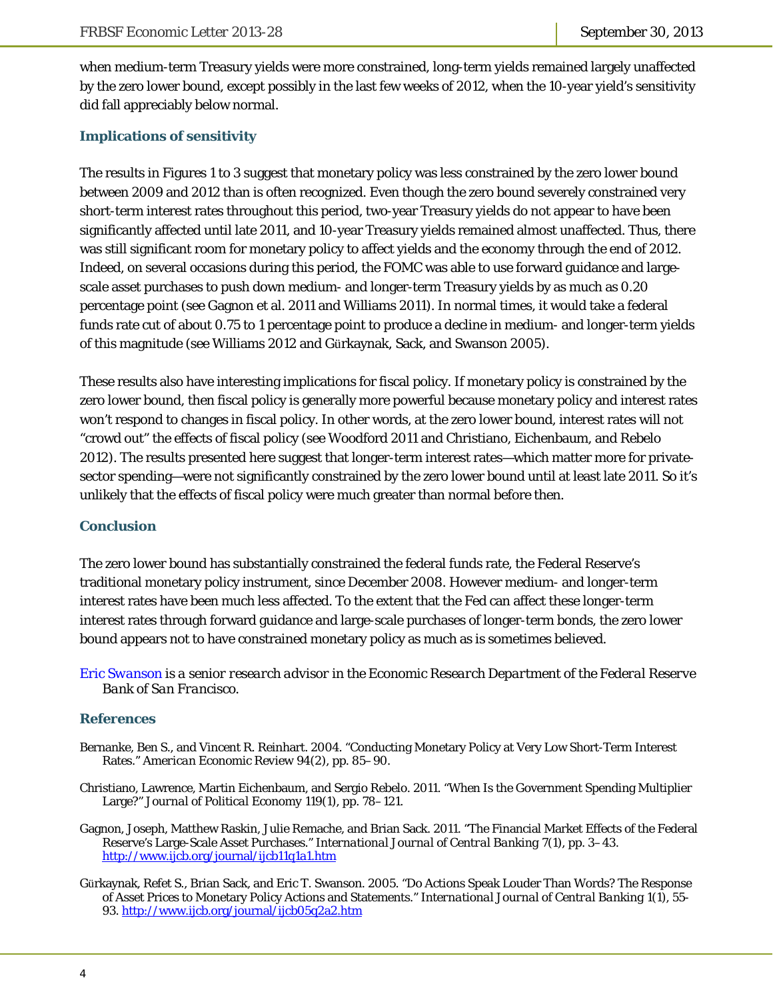when medium-term Treasury yields were more constrained, long-term yields remained largely unaffected by the zero lower bound, except possibly in the last few weeks of 2012, when the 10-year yield's sensitivity did fall appreciably below normal.

# **Implications of sensitivity**

The results in Figures 1 to 3 suggest that monetary policy was less constrained by the zero lower bound between 2009 and 2012 than is often recognized. Even though the zero bound severely constrained very short-term interest rates throughout this period, two-year Treasury yields do not appear to have been significantly affected until late 2011, and 10-year Treasury yields remained almost unaffected. Thus, there was still significant room for monetary policy to affect yields and the economy through the end of 2012. Indeed, on several occasions during this period, the FOMC was able to use forward guidance and largescale asset purchases to push down medium- and longer-term Treasury yields by as much as 0.20 percentage point (see Gagnon et al. 2011 and Williams 2011). In normal times, it would take a federal funds rate cut of about 0.75 to 1 percentage point to produce a decline in medium- and longer-term yields of this magnitude (see Williams 2012 and Gürkaynak, Sack, and Swanson 2005).

These results also have interesting implications for fiscal policy. If monetary policy is constrained by the zero lower bound, then fiscal policy is generally more powerful because monetary policy and interest rates won't respond to changes in fiscal policy. In other words, at the zero lower bound, interest rates will not "crowd out" the effects of fiscal policy (see Woodford 2011 and Christiano, Eichenbaum, and Rebelo 2012). The results presented here suggest that longer-term interest rates—which matter more for privatesector spending—were not significantly constrained by the zero lower bound until at least late 2011. So it's unlikely that the effects of fiscal policy were much greater than normal before then.

#### **Conclusion**

The zero lower bound has substantially constrained the federal funds rate, the Federal Reserve's traditional monetary policy instrument, since December 2008. However medium- and longer-term interest rates have been much less affected. To the extent that the Fed can affect these longer-term interest rates through forward guidance and large-scale purchases of longer-term bonds, the zero lower bound appears not to have constrained monetary policy as much as is sometimes believed.

*[Eric Swanson i](http://www.frbsf.org/economic-research/economists/eric-swanson/)s a senior research advisor in the Economic Research Department of the Federal Reserve Bank of San Francisco.* 

#### **References**

- Bernanke, Ben S., and Vincent R. Reinhart. 2004. "Conducting Monetary Policy at Very Low Short-Term Interest Rates." *American Economic Review* 94(2), pp. 85–90.
- Christiano, Lawrence, Martin Eichenbaum, and Sergio Rebelo. 2011. "When Is the Government Spending Multiplier Large?" *Journal of Political Economy* 119(1), pp. 78–121.
- Gagnon, Joseph, Matthew Raskin, Julie Remache, and Brian Sack. 2011. "The Financial Market Effects of the Federal Reserve's Large-Scale Asset Purchases." *International Journal of Central Banking* 7(1), pp. 3–43. http://www.ijcb.org/journal/ijcb11q1a1.htm
- Gürkaynak, Refet S., Brian Sack, and Eric T. Swanson. 2005. "Do Actions Speak Louder Than Words? The Response of Asset Prices to Monetary Policy Actions and Statements." *International Journal of Central Banking* 1(1), 55- 93. http://www.ijcb.org/journal/ijcb05q2a2.htm